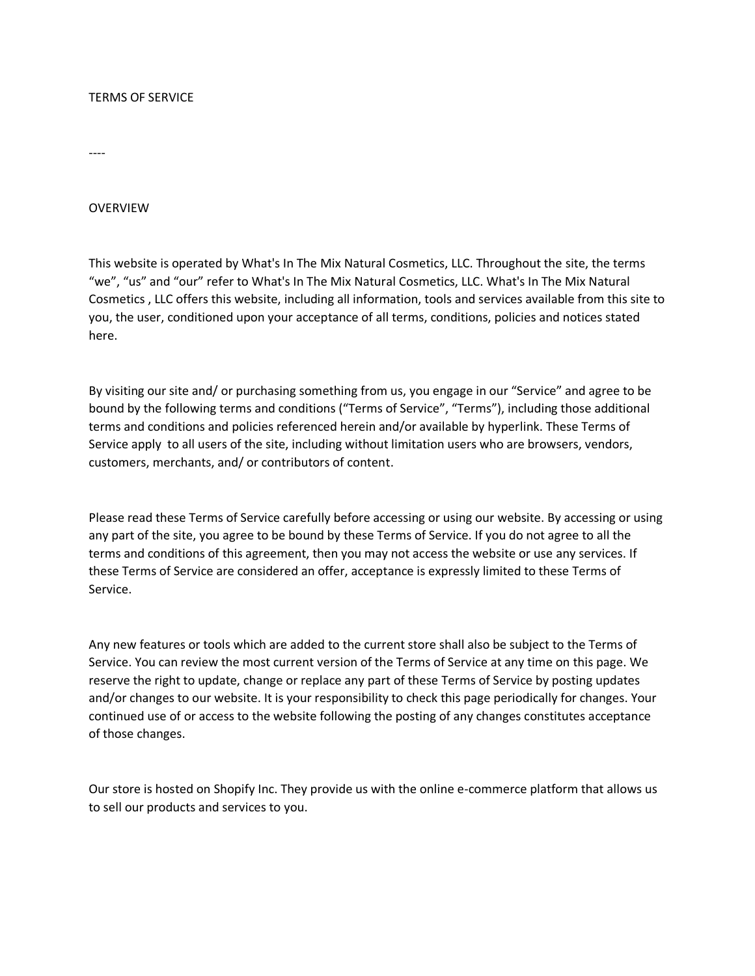#### TERMS OF SERVICE

----

#### OVERVIEW

This website is operated by What's In The Mix Natural Cosmetics, LLC. Throughout the site, the terms "we", "us" and "our" refer to What's In The Mix Natural Cosmetics, LLC. What's In The Mix Natural Cosmetics , LLC offers this website, including all information, tools and services available from this site to you, the user, conditioned upon your acceptance of all terms, conditions, policies and notices stated here.

By visiting our site and/ or purchasing something from us, you engage in our "Service" and agree to be bound by the following terms and conditions ("Terms of Service", "Terms"), including those additional terms and conditions and policies referenced herein and/or available by hyperlink. These Terms of Service apply to all users of the site, including without limitation users who are browsers, vendors, customers, merchants, and/ or contributors of content.

Please read these Terms of Service carefully before accessing or using our website. By accessing or using any part of the site, you agree to be bound by these Terms of Service. If you do not agree to all the terms and conditions of this agreement, then you may not access the website or use any services. If these Terms of Service are considered an offer, acceptance is expressly limited to these Terms of Service.

Any new features or tools which are added to the current store shall also be subject to the Terms of Service. You can review the most current version of the Terms of Service at any time on this page. We reserve the right to update, change or replace any part of these Terms of Service by posting updates and/or changes to our website. It is your responsibility to check this page periodically for changes. Your continued use of or access to the website following the posting of any changes constitutes acceptance of those changes.

Our store is hosted on Shopify Inc. They provide us with the online e-commerce platform that allows us to sell our products and services to you.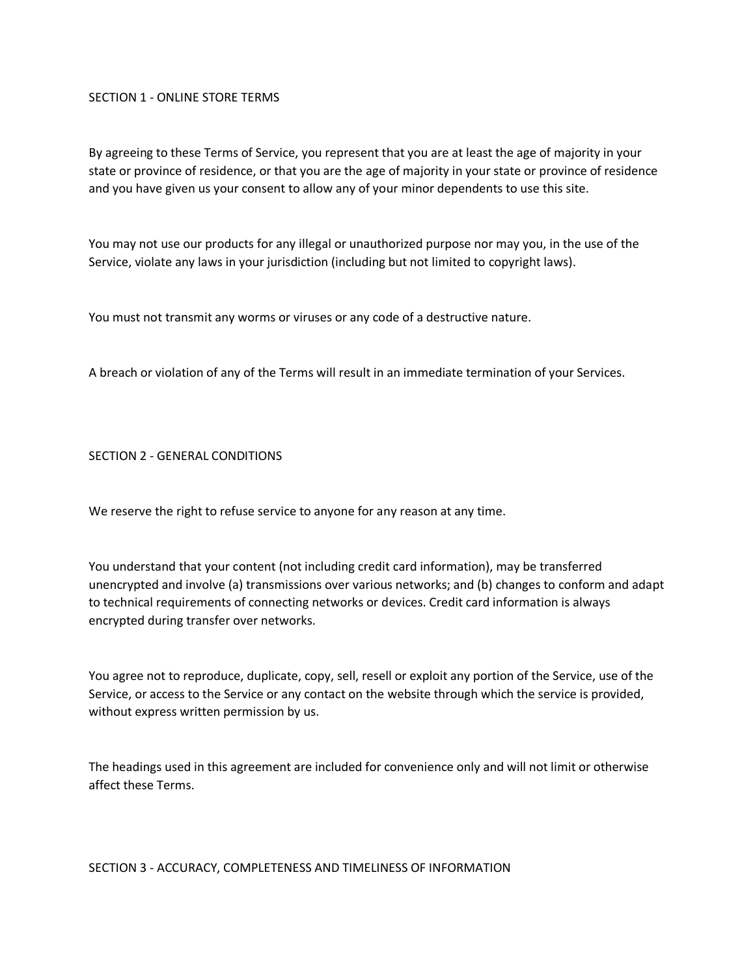#### SECTION 1 - ONLINE STORE TERMS

By agreeing to these Terms of Service, you represent that you are at least the age of majority in your state or province of residence, or that you are the age of majority in your state or province of residence and you have given us your consent to allow any of your minor dependents to use this site.

You may not use our products for any illegal or unauthorized purpose nor may you, in the use of the Service, violate any laws in your jurisdiction (including but not limited to copyright laws).

You must not transmit any worms or viruses or any code of a destructive nature.

A breach or violation of any of the Terms will result in an immediate termination of your Services.

#### SECTION 2 - GENERAL CONDITIONS

We reserve the right to refuse service to anyone for any reason at any time.

You understand that your content (not including credit card information), may be transferred unencrypted and involve (a) transmissions over various networks; and (b) changes to conform and adapt to technical requirements of connecting networks or devices. Credit card information is always encrypted during transfer over networks.

You agree not to reproduce, duplicate, copy, sell, resell or exploit any portion of the Service, use of the Service, or access to the Service or any contact on the website through which the service is provided, without express written permission by us.

The headings used in this agreement are included for convenience only and will not limit or otherwise affect these Terms.

#### SECTION 3 - ACCURACY, COMPLETENESS AND TIMELINESS OF INFORMATION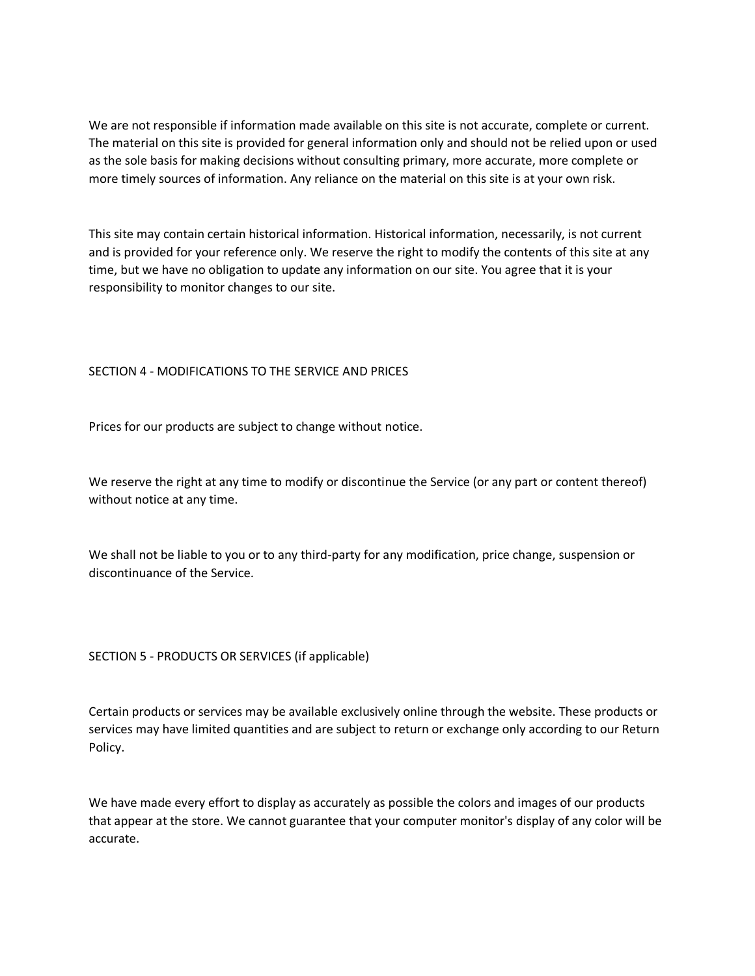We are not responsible if information made available on this site is not accurate, complete or current. The material on this site is provided for general information only and should not be relied upon or used as the sole basis for making decisions without consulting primary, more accurate, more complete or more timely sources of information. Any reliance on the material on this site is at your own risk.

This site may contain certain historical information. Historical information, necessarily, is not current and is provided for your reference only. We reserve the right to modify the contents of this site at any time, but we have no obligation to update any information on our site. You agree that it is your responsibility to monitor changes to our site.

## SECTION 4 - MODIFICATIONS TO THE SERVICE AND PRICES

Prices for our products are subject to change without notice.

We reserve the right at any time to modify or discontinue the Service (or any part or content thereof) without notice at any time.

We shall not be liable to you or to any third-party for any modification, price change, suspension or discontinuance of the Service.

SECTION 5 - PRODUCTS OR SERVICES (if applicable)

Certain products or services may be available exclusively online through the website. These products or services may have limited quantities and are subject to return or exchange only according to our Return Policy.

We have made every effort to display as accurately as possible the colors and images of our products that appear at the store. We cannot guarantee that your computer monitor's display of any color will be accurate.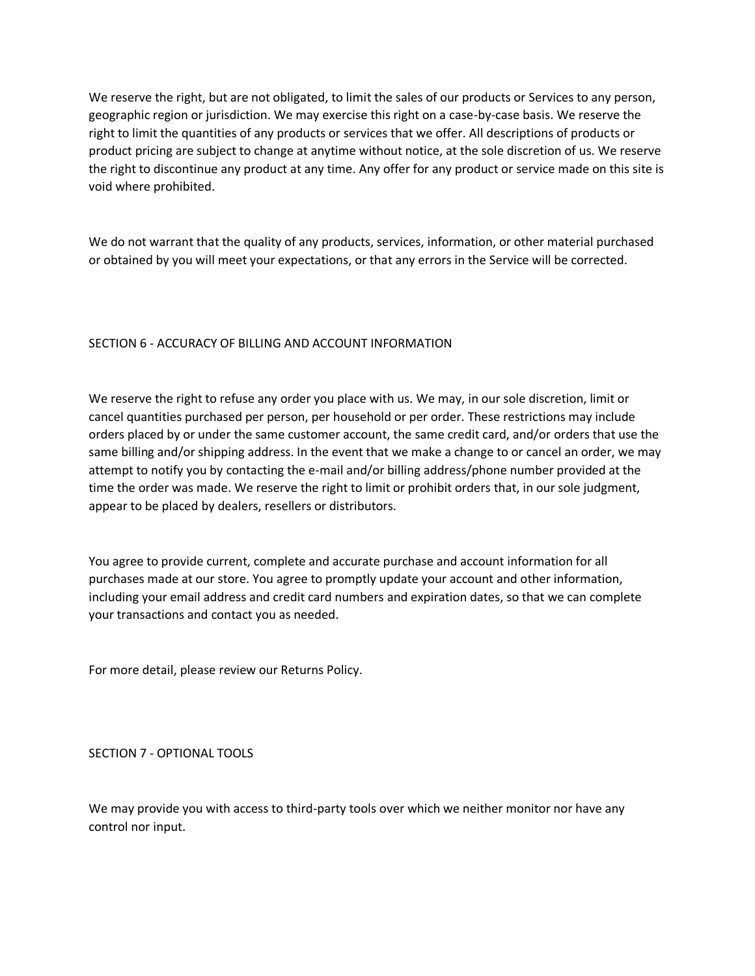We reserve the right, but are not obligated, to limit the sales of our products or Services to any person, geographic region or jurisdiction. We may exercise this right on a case-by-case basis. We reserve the right to limit the quantities of any products or services that we offer. All descriptions of products or product pricing are subject to change at anytime without notice, at the sole discretion of us. We reserve the right to discontinue any product at any time. Any offer for any product or service made on this site is void where prohibited.

We do not warrant that the quality of any products, services, information, or other material purchased or obtained by you will meet your expectations, or that any errors in the Service will be corrected.

## SECTION 6 - ACCURACY OF BILLING AND ACCOUNT INFORMATION

We reserve the right to refuse any order you place with us. We may, in our sole discretion, limit or cancel quantities purchased per person, per household or per order. These restrictions may include orders placed by or under the same customer account, the same credit card, and/or orders that use the same billing and/or shipping address. In the event that we make a change to or cancel an order, we may attempt to notify you by contacting the e-mail and/or billing address/phone number provided at the time the order was made. We reserve the right to limit or prohibit orders that, in our sole judgment, appear to be placed by dealers, resellers or distributors.

You agree to provide current, complete and accurate purchase and account information for all purchases made at our store. You agree to promptly update your account and other information, including your email address and credit card numbers and expiration dates, so that we can complete your transactions and contact you as needed.

For more detail, please review our Returns Policy.

SECTION 7 - OPTIONAL TOOLS

We may provide you with access to third-party tools over which we neither monitor nor have any control nor input.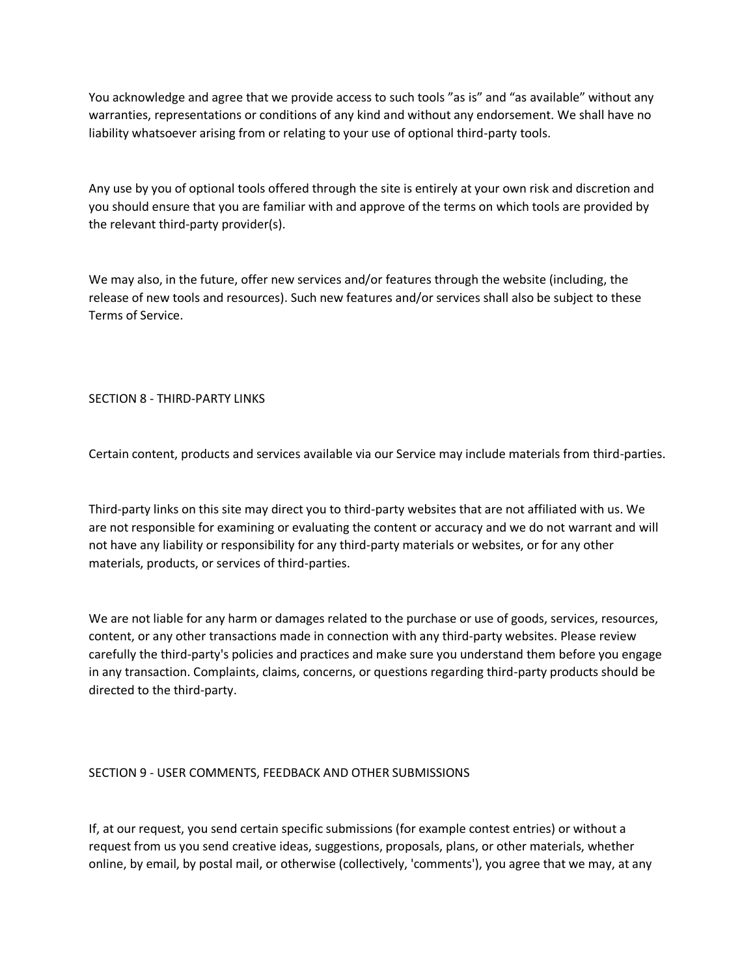You acknowledge and agree that we provide access to such tools "as is" and "as available" without any warranties, representations or conditions of any kind and without any endorsement. We shall have no liability whatsoever arising from or relating to your use of optional third-party tools.

Any use by you of optional tools offered through the site is entirely at your own risk and discretion and you should ensure that you are familiar with and approve of the terms on which tools are provided by the relevant third-party provider(s).

We may also, in the future, offer new services and/or features through the website (including, the release of new tools and resources). Such new features and/or services shall also be subject to these Terms of Service.

# SECTION 8 - THIRD-PARTY LINKS

Certain content, products and services available via our Service may include materials from third-parties.

Third-party links on this site may direct you to third-party websites that are not affiliated with us. We are not responsible for examining or evaluating the content or accuracy and we do not warrant and will not have any liability or responsibility for any third-party materials or websites, or for any other materials, products, or services of third-parties.

We are not liable for any harm or damages related to the purchase or use of goods, services, resources, content, or any other transactions made in connection with any third-party websites. Please review carefully the third-party's policies and practices and make sure you understand them before you engage in any transaction. Complaints, claims, concerns, or questions regarding third-party products should be directed to the third-party.

## SECTION 9 - USER COMMENTS, FEEDBACK AND OTHER SUBMISSIONS

If, at our request, you send certain specific submissions (for example contest entries) or without a request from us you send creative ideas, suggestions, proposals, plans, or other materials, whether online, by email, by postal mail, or otherwise (collectively, 'comments'), you agree that we may, at any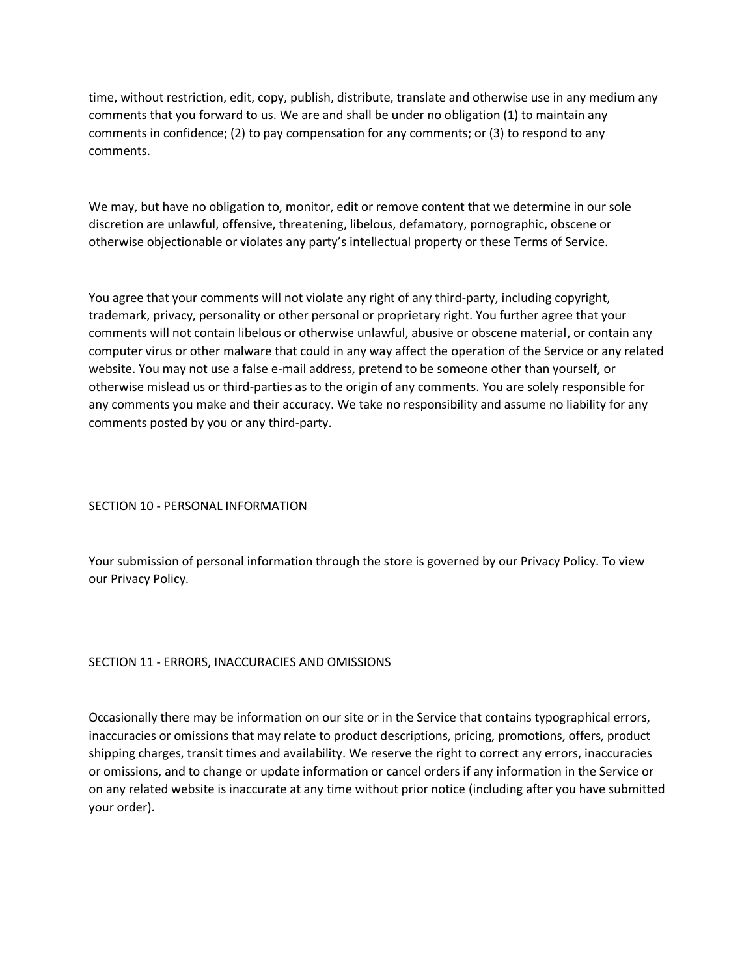time, without restriction, edit, copy, publish, distribute, translate and otherwise use in any medium any comments that you forward to us. We are and shall be under no obligation (1) to maintain any comments in confidence; (2) to pay compensation for any comments; or (3) to respond to any comments.

We may, but have no obligation to, monitor, edit or remove content that we determine in our sole discretion are unlawful, offensive, threatening, libelous, defamatory, pornographic, obscene or otherwise objectionable or violates any party's intellectual property or these Terms of Service.

You agree that your comments will not violate any right of any third-party, including copyright, trademark, privacy, personality or other personal or proprietary right. You further agree that your comments will not contain libelous or otherwise unlawful, abusive or obscene material, or contain any computer virus or other malware that could in any way affect the operation of the Service or any related website. You may not use a false e-mail address, pretend to be someone other than yourself, or otherwise mislead us or third-parties as to the origin of any comments. You are solely responsible for any comments you make and their accuracy. We take no responsibility and assume no liability for any comments posted by you or any third-party.

## SECTION 10 - PERSONAL INFORMATION

Your submission of personal information through the store is governed by our Privacy Policy. To view our Privacy Policy.

## SECTION 11 - ERRORS, INACCURACIES AND OMISSIONS

Occasionally there may be information on our site or in the Service that contains typographical errors, inaccuracies or omissions that may relate to product descriptions, pricing, promotions, offers, product shipping charges, transit times and availability. We reserve the right to correct any errors, inaccuracies or omissions, and to change or update information or cancel orders if any information in the Service or on any related website is inaccurate at any time without prior notice (including after you have submitted your order).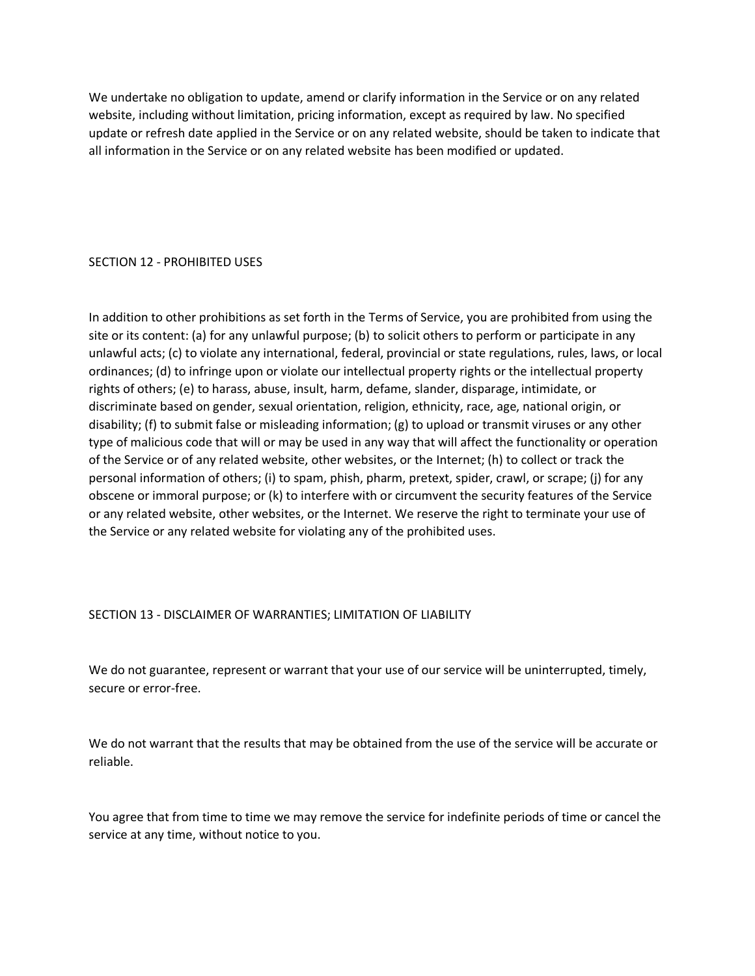We undertake no obligation to update, amend or clarify information in the Service or on any related website, including without limitation, pricing information, except as required by law. No specified update or refresh date applied in the Service or on any related website, should be taken to indicate that all information in the Service or on any related website has been modified or updated.

## SECTION 12 - PROHIBITED USES

In addition to other prohibitions as set forth in the Terms of Service, you are prohibited from using the site or its content: (a) for any unlawful purpose; (b) to solicit others to perform or participate in any unlawful acts; (c) to violate any international, federal, provincial or state regulations, rules, laws, or local ordinances; (d) to infringe upon or violate our intellectual property rights or the intellectual property rights of others; (e) to harass, abuse, insult, harm, defame, slander, disparage, intimidate, or discriminate based on gender, sexual orientation, religion, ethnicity, race, age, national origin, or disability; (f) to submit false or misleading information; (g) to upload or transmit viruses or any other type of malicious code that will or may be used in any way that will affect the functionality or operation of the Service or of any related website, other websites, or the Internet; (h) to collect or track the personal information of others; (i) to spam, phish, pharm, pretext, spider, crawl, or scrape; (j) for any obscene or immoral purpose; or (k) to interfere with or circumvent the security features of the Service or any related website, other websites, or the Internet. We reserve the right to terminate your use of the Service or any related website for violating any of the prohibited uses.

#### SECTION 13 - DISCLAIMER OF WARRANTIES; LIMITATION OF LIABILITY

We do not guarantee, represent or warrant that your use of our service will be uninterrupted, timely, secure or error-free.

We do not warrant that the results that may be obtained from the use of the service will be accurate or reliable.

You agree that from time to time we may remove the service for indefinite periods of time or cancel the service at any time, without notice to you.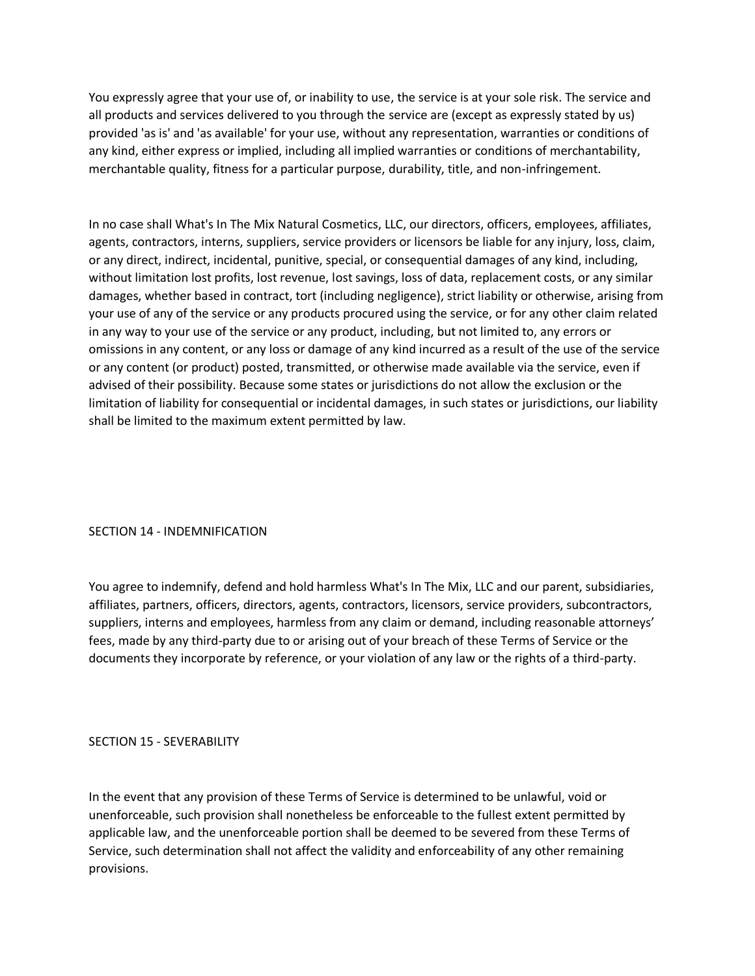You expressly agree that your use of, or inability to use, the service is at your sole risk. The service and all products and services delivered to you through the service are (except as expressly stated by us) provided 'as is' and 'as available' for your use, without any representation, warranties or conditions of any kind, either express or implied, including all implied warranties or conditions of merchantability, merchantable quality, fitness for a particular purpose, durability, title, and non-infringement.

In no case shall What's In The Mix Natural Cosmetics, LLC, our directors, officers, employees, affiliates, agents, contractors, interns, suppliers, service providers or licensors be liable for any injury, loss, claim, or any direct, indirect, incidental, punitive, special, or consequential damages of any kind, including, without limitation lost profits, lost revenue, lost savings, loss of data, replacement costs, or any similar damages, whether based in contract, tort (including negligence), strict liability or otherwise, arising from your use of any of the service or any products procured using the service, or for any other claim related in any way to your use of the service or any product, including, but not limited to, any errors or omissions in any content, or any loss or damage of any kind incurred as a result of the use of the service or any content (or product) posted, transmitted, or otherwise made available via the service, even if advised of their possibility. Because some states or jurisdictions do not allow the exclusion or the limitation of liability for consequential or incidental damages, in such states or jurisdictions, our liability shall be limited to the maximum extent permitted by law.

## SECTION 14 - INDEMNIFICATION

You agree to indemnify, defend and hold harmless What's In The Mix, LLC and our parent, subsidiaries, affiliates, partners, officers, directors, agents, contractors, licensors, service providers, subcontractors, suppliers, interns and employees, harmless from any claim or demand, including reasonable attorneys' fees, made by any third-party due to or arising out of your breach of these Terms of Service or the documents they incorporate by reference, or your violation of any law or the rights of a third-party.

## SECTION 15 - SEVERABILITY

In the event that any provision of these Terms of Service is determined to be unlawful, void or unenforceable, such provision shall nonetheless be enforceable to the fullest extent permitted by applicable law, and the unenforceable portion shall be deemed to be severed from these Terms of Service, such determination shall not affect the validity and enforceability of any other remaining provisions.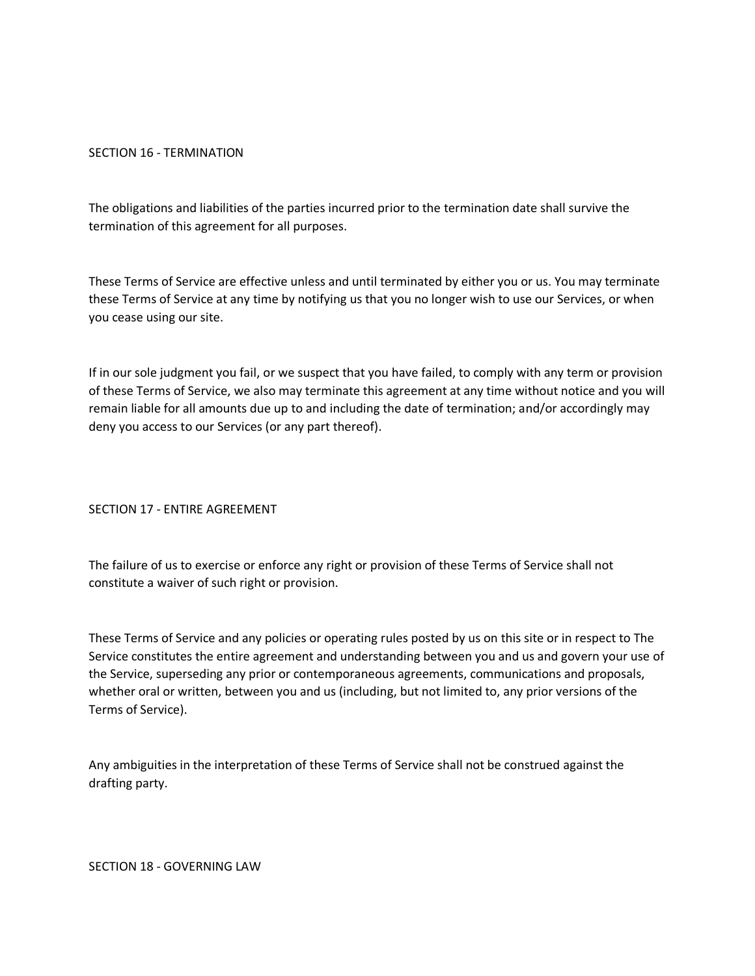#### SECTION 16 - TERMINATION

The obligations and liabilities of the parties incurred prior to the termination date shall survive the termination of this agreement for all purposes.

These Terms of Service are effective unless and until terminated by either you or us. You may terminate these Terms of Service at any time by notifying us that you no longer wish to use our Services, or when you cease using our site.

If in our sole judgment you fail, or we suspect that you have failed, to comply with any term or provision of these Terms of Service, we also may terminate this agreement at any time without notice and you will remain liable for all amounts due up to and including the date of termination; and/or accordingly may deny you access to our Services (or any part thereof).

SECTION 17 - ENTIRE AGREEMENT

The failure of us to exercise or enforce any right or provision of these Terms of Service shall not constitute a waiver of such right or provision.

These Terms of Service and any policies or operating rules posted by us on this site or in respect to The Service constitutes the entire agreement and understanding between you and us and govern your use of the Service, superseding any prior or contemporaneous agreements, communications and proposals, whether oral or written, between you and us (including, but not limited to, any prior versions of the Terms of Service).

Any ambiguities in the interpretation of these Terms of Service shall not be construed against the drafting party.

SECTION 18 - GOVERNING LAW